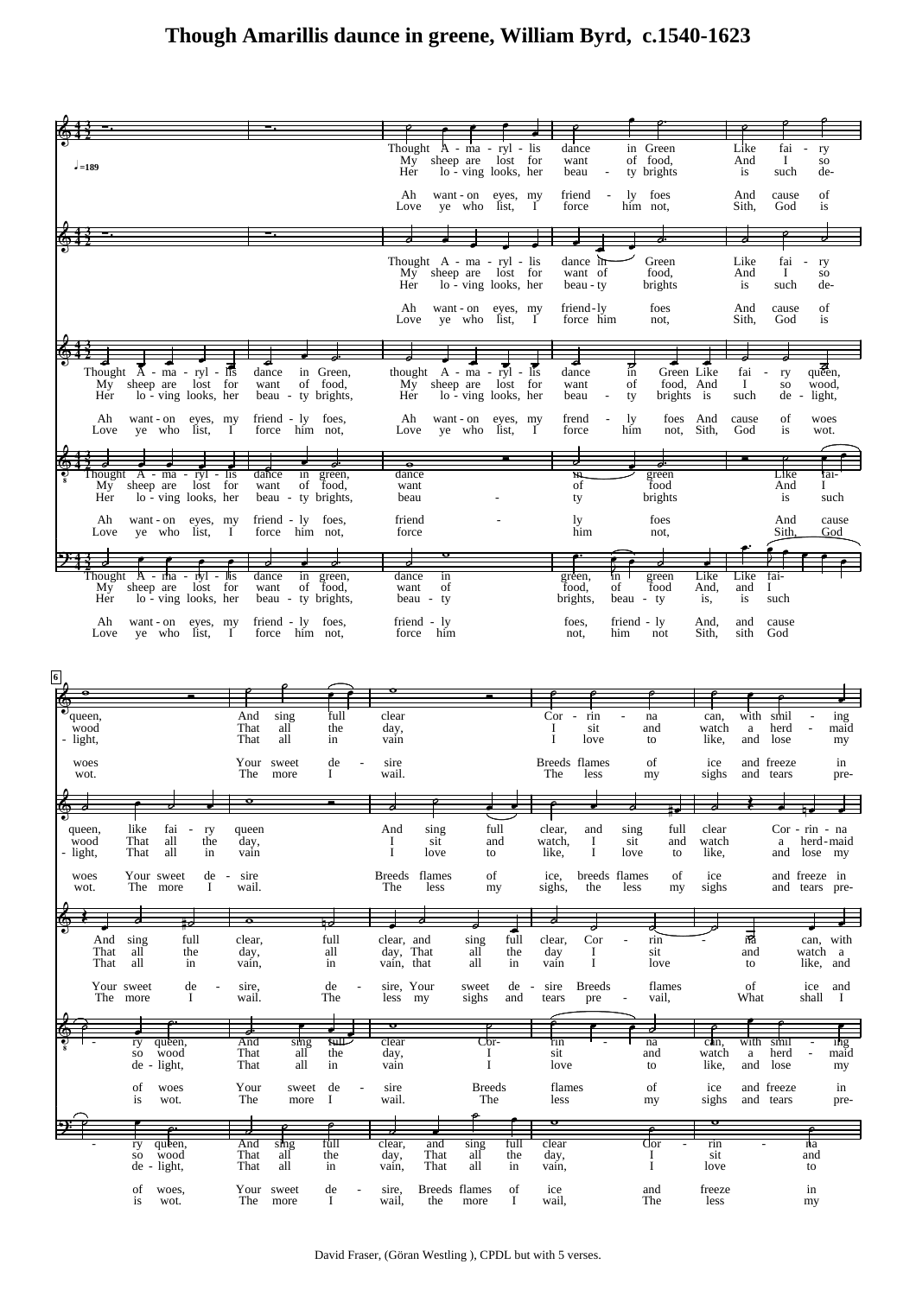## **Though Amarillis daunce in greene, William Byrd, c.1540-1623**

|                                                                                                         |                                                                            | Thought $A - ma - ryl - lis$<br>My     | sheep are lost for                                               | dance<br>want                                      | in Green<br>of food,                                    | Like<br>And                  | fai -<br>ry<br>$\bf{I}$<br>so                   |
|---------------------------------------------------------------------------------------------------------|----------------------------------------------------------------------------|----------------------------------------|------------------------------------------------------------------|----------------------------------------------------|---------------------------------------------------------|------------------------------|-------------------------------------------------|
| $-189$                                                                                                  |                                                                            | Her                                    | lo - ving looks, her                                             | beau<br>$\overline{\phantom{a}}$                   | ty brights                                              | is                           | such<br>de-                                     |
|                                                                                                         |                                                                            | Ah<br>Love                             | want - on eyes, my<br>ye who list,                               | friend<br>$\overline{\phantom{a}}$<br>force<br>— І | ly foes<br>him not.                                     | And<br>Sith,                 | of<br>cause<br>God<br>is                        |
|                                                                                                         |                                                                            |                                        |                                                                  |                                                    |                                                         |                              |                                                 |
|                                                                                                         |                                                                            | Thought A - ma - ryl - lis<br>My -     | sheep are lost for                                               | dance in<br>want of                                | Green<br>food,                                          | Like<br>And                  | fai<br>ry<br>$\bf{I}$<br>SO.                    |
|                                                                                                         |                                                                            | Her<br>Ah                              | lo - ving looks, her                                             | beau - ty                                          | brights<br>foes                                         | is                           | such<br>de-                                     |
|                                                                                                         |                                                                            | Love                                   | want - on eyes, my<br>ye who list,                               | friend-ly<br>force him<br>Ι                        | not.                                                    | And<br>Sith,                 | cause<br>οf<br>God<br>is                        |
|                                                                                                         |                                                                            |                                        |                                                                  |                                                    | ರ                                                       |                              |                                                 |
| Thought $\overline{A}$ - ma - ryl - lis<br>lost for<br>sheep are<br>My -<br>lo - ving looks, her<br>Her | dance<br>in Green,<br>want<br>of food,<br>beau - ty brights,               | sheep are<br>My<br>Her                 | thought $A - ma - ryl - lis$<br>lost for<br>lo - ving looks, her | dance<br>want<br>beau<br>$\overline{\phantom{a}}$  | Green Like<br>in<br>food, And<br>of<br>brights is<br>ty | fai<br>$\bf{I}$<br>such      | queen,<br>ry<br>wood,<br>SO<br>light,<br>$de -$ |
| Ah<br>want - on eyes, my                                                                                | friend - ly foes,                                                          | Ah                                     | want - on eyes, my                                               | frend<br>$\overline{\phantom{a}}$                  | foes And<br>ly.                                         | cause                        | of<br>woes                                      |
| Love ye who list,                                                                                       | $\mathbf I$<br>force him not,                                              | Love                                   | ye who list,                                                     | force<br>-1                                        | him<br>not, Sith,                                       | God                          | is<br>wot.                                      |
| Thought $A - ma - ryl - lis$<br>lost for<br>sheep are<br>My                                             | dance<br>in green,<br>want<br>of food,                                     | $\overline{\bullet}$<br>dance<br>want  |                                                                  | in.<br>of                                          | green<br>food                                           |                              | Like<br>fai-<br>And<br>Ι                        |
| lo - ving looks, her<br>Her                                                                             | beau - ty brights,                                                         | beau                                   |                                                                  | ty                                                 | brights                                                 |                              | is<br>such                                      |
| Ah<br>want - on eyes, my<br>Love ye who list, I                                                         | friend - ly foes,<br>force him not,                                        | friend<br>force                        |                                                                  | ly<br>him                                          | foes<br>not.                                            |                              | And<br>cause<br>Sith.<br>God                    |
| Thought A - rha - rhyl - llis                                                                           | dance<br>in green,                                                         | dance<br>in                            |                                                                  | green,                                             | green<br>in                                             | Like<br>Like                 | fai-                                            |
| sheep are lost for<br>My -<br>lo - ving looks, her<br>Her                                               | want<br>of food,<br>beau - ty brights,                                     | want<br>of<br>beau - ty                |                                                                  | food,<br>brights,                                  | of<br>food<br>beau - ty                                 | And,<br>and<br>is,<br>is     | $\bf{I}$<br>such                                |
| Ah<br>want - on eyes, my<br>ye who list, I<br>Love                                                      | friend - ly foes,<br>force him not,                                        | friend - ly<br>force him               |                                                                  | foes,<br>not,                                      | friend - ly<br>him<br>not                               | And,<br>and<br>Sith,<br>sith | cause<br>God                                    |
|                                                                                                         |                                                                            |                                        |                                                                  |                                                    |                                                         |                              |                                                 |
|                                                                                                         |                                                                            |                                        |                                                                  |                                                    |                                                         |                              |                                                 |
| 6                                                                                                       |                                                                            |                                        |                                                                  |                                                    |                                                         |                              |                                                 |
| queen,                                                                                                  | And<br>sing<br>full                                                        | clear                                  |                                                                  | $Cor - rin$                                        | na                                                      | with<br>can,                 | smil<br>ing                                     |
| wood<br>- light,                                                                                        | all<br>That<br>the<br>That<br>all<br>in                                    | day,<br>vain                           |                                                                  | Ι<br>sit<br>Ι<br>love                              | and<br>to                                               | watch<br>a<br>like,<br>and   | herd<br>maid<br>lose<br>my                      |
| woes<br>wot.                                                                                            | Your sweet<br>de<br>The<br>more<br>Ι                                       | sire<br>wail.                          |                                                                  | Breeds flames<br>The<br>less                       | of<br>my                                                | ice<br>sighs                 | and freeze<br>in<br>and tears<br>pre-           |
|                                                                                                         |                                                                            |                                        |                                                                  |                                                    |                                                         |                              |                                                 |
| like<br>fai<br>ry<br>queen,<br>$\overline{\phantom{a}}$<br>That<br>all<br>wood<br>the                   | queen<br>day,                                                              | sing<br>And<br>sit<br>Ι.               | full<br>and                                                      | clear,<br>and<br>watch,<br>Ι                       | full<br>sing<br>sit<br>and                              | clear<br>watch               | $Cor - rin - na$<br>a<br>herd-maid              |
| That<br>all<br>- light,<br>in                                                                           | vain                                                                       | Ι<br>love                              | to                                                               | like,<br>Ι                                         | love<br>to                                              | like,                        | lose my<br>and                                  |
| Your sweet<br>de<br>woes<br>$\sim$<br>The more<br>Ι.<br>wot.                                            | sire<br>wail.                                                              | <b>Breeds</b><br>flames<br>The<br>less | οf<br>my                                                         | ice,<br>sighs,<br>the                              | breeds flames<br>of<br>less<br>my                       | ice<br>sighs                 | and freeze in<br>and tears pre-                 |
|                                                                                                         | $\overline{\bullet}$                                                       |                                        |                                                                  |                                                    |                                                         |                              |                                                 |
| And<br>sing<br>full<br>all<br>That<br>the<br>all<br>That<br>in                                          | full<br>clear,<br>day,<br>all<br>in<br>vain,                               | clear, and<br>day, That<br>vain, that  | full<br>sing<br>all<br>the<br>all<br>in                          | Cor<br>clear,<br>day<br>Ι<br>$\bf{I}$<br>vain      | rin<br>$\overline{a}$<br>sit<br>love                    | 큛<br>and<br>to               | can, with<br>watch a<br>like, and               |
| Your sweet<br>de                                                                                        | de<br>sire,<br>$\overline{a}$                                              | sire, Your                             | $de -$<br>sweet                                                  | sire<br><b>Breeds</b>                              | flames                                                  | of                           | ice<br>and                                      |
| The more<br>Ι.                                                                                          | wail.<br>The                                                               | less my<br>৹                           | sighs<br>and                                                     | tears<br>pre                                       | vail,                                                   | What                         | shall<br>$\mathbf I$                            |
| ry<br>queen,<br>wood<br>SO.                                                                             | $f$ ull $\Box$<br>And<br>$\sin \theta$<br>That<br>all<br>the               | clear<br>day,                          | $Cor-$<br>Ι                                                      | 'rin<br>sit                                        | na<br>and                                               | can.<br>with<br>watch<br>a   | smil<br>ing<br>herd<br>maid                     |
| de - light,                                                                                             | That<br>all<br>in                                                          | vain                                   | $\mathbf I$                                                      | love                                               | to                                                      | like,<br>and                 | lose<br>my                                      |
| of<br>woes<br>wot.<br>is                                                                                | Your<br>de<br>sweet<br>$\overline{\phantom{a}}$<br>The<br>more<br>$\bf{I}$ | sire<br>wail.                          | <b>Breeds</b><br>The                                             | flames<br>less                                     | οf<br>my                                                | ice<br>sighs                 | and freeze<br>in<br>and tears<br>pre-           |
|                                                                                                         | full<br>And<br>sing                                                        | clear,<br>and                          | full<br>$s$ ing                                                  | þ<br>clear                                         | $\overline{\text{Cor}}$                                 | þ<br>rin                     | ma                                              |
| queen,<br>ry<br>wood<br>${\bf SO}$<br>de - light,                                                       | all<br>That<br>the<br>That<br>all<br>in                                    | That<br>day,<br>That<br>vain,          | all<br>the<br>all<br>in                                          | day,<br>vain,                                      | Ι.<br>$\bf{I}$                                          | sit<br>love                  | and<br>to                                       |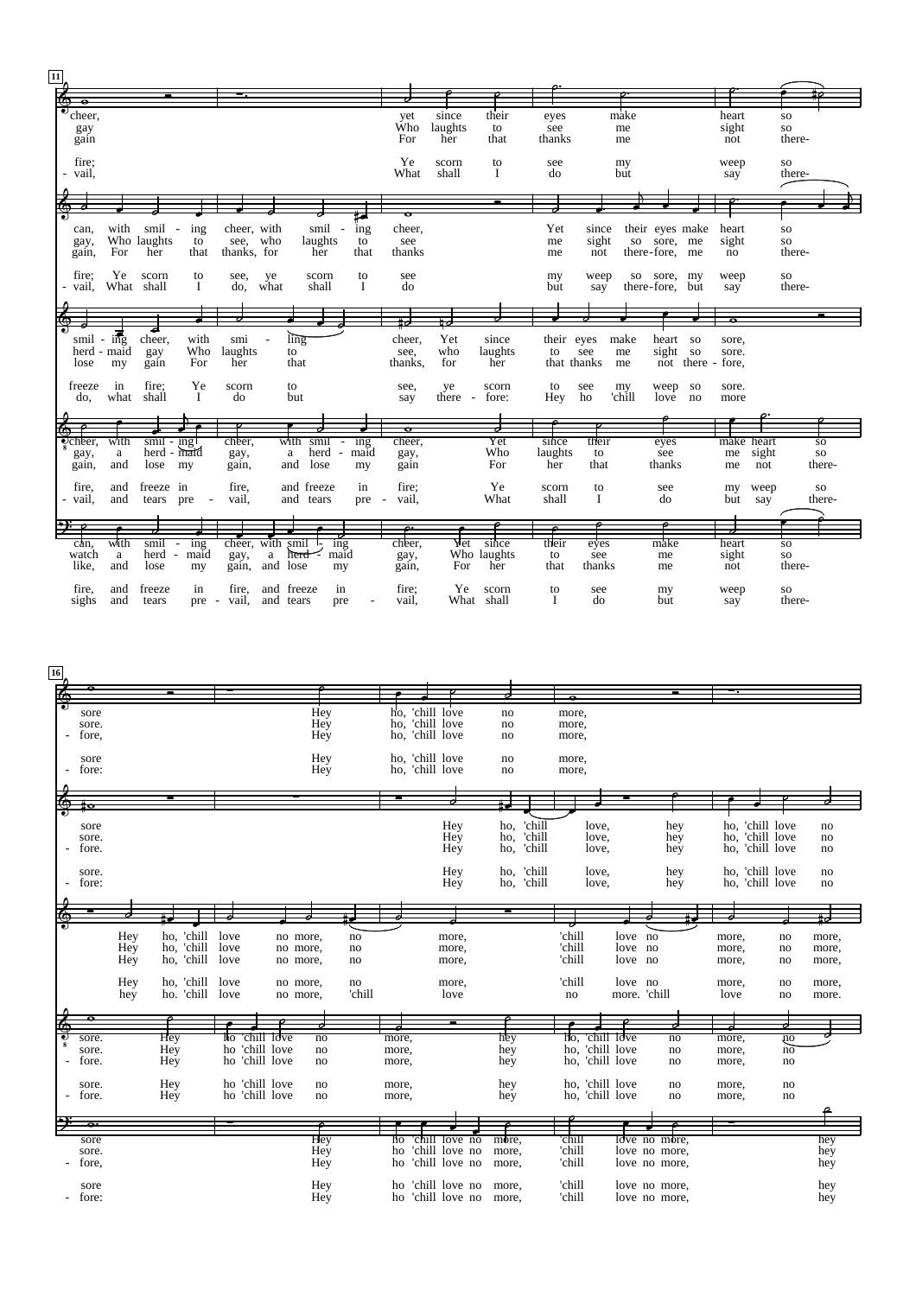| $\boxed{11}$ |                             |             |                            |                                 |                     |              |                  |       |          |           |                          |             |        |                 |                   |               |            |            |           |
|--------------|-----------------------------|-------------|----------------------------|---------------------------------|---------------------|--------------|------------------|-------|----------|-----------|--------------------------|-------------|--------|-----------------|-------------------|---------------|------------|------------|-----------|
| 屠            |                             |             |                            |                                 |                     |              |                  |       |          |           |                          |             |        |                 |                   |               |            |            |           |
|              |                             |             |                            |                                 |                     |              |                  |       |          |           |                          |             |        |                 |                   |               |            |            |           |
|              | ⊽                           |             |                            |                                 |                     |              |                  |       |          |           |                          |             |        |                 |                   |               |            |            |           |
|              | 'cheer,                     |             |                            |                                 |                     |              |                  |       | yet      | since     | their                    | eyes        |        | make            |                   | heart         |            | ${\bf SO}$ |           |
|              | gay                         |             |                            |                                 |                     |              |                  |       | Ŵһо      | laughts   | to                       | see         |        | me              |                   | sight         |            | ${\bf SO}$ |           |
|              |                             |             |                            |                                 |                     |              |                  |       | For      | her       | that                     | thanks      |        |                 |                   | not           |            | there-     |           |
|              | gain                        |             |                            |                                 |                     |              |                  |       |          |           |                          |             |        | me              |                   |               |            |            |           |
|              |                             |             |                            |                                 |                     |              |                  |       |          |           |                          |             |        |                 |                   |               |            |            |           |
|              | fire;                       |             |                            |                                 |                     |              |                  |       | Ye       | scorn     | to                       | see         |        | my              |                   | weep          |            | SO         |           |
|              |                             |             |                            |                                 |                     |              |                  |       |          |           |                          |             |        |                 |                   |               |            |            |           |
|              | - vail,                     |             |                            |                                 |                     |              |                  |       | What     | shall     | I                        | do          |        | but             |                   | say           |            | there-     |           |
|              |                             |             |                            |                                 |                     |              |                  |       |          |           |                          |             |        |                 |                   |               |            |            |           |
|              |                             |             |                            |                                 |                     |              |                  |       |          |           |                          |             |        |                 |                   |               |            |            |           |
|              |                             |             |                            |                                 |                     |              |                  |       |          |           |                          |             |        |                 |                   |               |            |            |           |
|              |                             |             |                            |                                 |                     |              |                  |       | $\sigma$ |           |                          |             |        |                 |                   |               |            |            |           |
|              |                             |             |                            |                                 |                     |              |                  |       |          |           |                          |             |        |                 |                   |               |            |            |           |
|              | can,                        | with        | smil                       | ing<br>$\overline{\phantom{a}}$ | cheer, with         |              | smil             | ing   | cheer,   |           |                          | Yet         | since  | their eyes make |                   | heart         |            | ${\bf SO}$ |           |
|              |                             |             | Who laughts                | to                              | see, who            |              |                  |       |          |           |                          |             |        |                 |                   |               |            |            |           |
|              | gay,                        |             |                            |                                 |                     |              | laughts          | to    | see      |           |                          | me          | sight  | so sore,        | me                | sight         |            | ${\bf SO}$ |           |
|              | gain,                       | For         | her                        | that                            | thanks, for         |              | her              | that  | thanks   |           |                          | me          | not    | there-fore, me  |                   | no            |            | there-     |           |
|              |                             |             |                            |                                 |                     |              |                  |       |          |           |                          |             |        |                 |                   |               |            |            |           |
|              |                             |             |                            |                                 |                     |              |                  |       |          |           |                          |             |        |                 |                   |               |            |            |           |
|              | fire:                       | Ye          | scorn                      | to                              | see,                | ye           | scorn            | to    | see      |           |                          | my          | weep   | so sore, my     |                   | weep          |            | <b>SO</b>  |           |
|              | - vail,                     | What shall  |                            | L                               | do.                 | what         | shall            | Ι.    | do       |           |                          | but         | say    | there-fore, but |                   | say           |            | there-     |           |
|              |                             |             |                            |                                 |                     |              |                  |       |          |           |                          |             |        |                 |                   |               |            |            |           |
|              |                             |             |                            |                                 |                     |              |                  |       |          |           |                          |             |        |                 |                   |               |            |            |           |
|              |                             |             |                            |                                 |                     |              |                  |       |          |           |                          |             |        |                 |                   |               |            |            |           |
|              |                             |             |                            |                                 |                     |              |                  |       |          |           |                          |             |        |                 |                   |               |            |            |           |
|              |                             |             |                            |                                 |                     |              |                  |       |          |           |                          |             |        |                 |                   |               |            |            |           |
|              | smil                        | $-$ ing     | cheer,                     | with                            | smi                 |              | ling             |       | cheer,   | Yet       | since                    | their eyes  |        | make<br>heart   | <b>SO</b>         | sore,         |            |            |           |
|              |                             | herd - maid |                            | Who                             | laughts             |              | to               |       | see,     | who       | laughts                  | to          | see    | sight<br>me     | so                | sore.         |            |            |           |
|              |                             |             | gay                        |                                 |                     |              |                  |       |          |           |                          |             |        |                 |                   |               |            |            |           |
|              | lose                        | my          | gain                       | For                             | her                 |              | that             |       | thanks,  | for       | her                      | that thanks |        | me              | not there - fore, |               |            |            |           |
|              |                             |             |                            |                                 |                     |              |                  |       |          |           |                          |             |        |                 |                   |               |            |            |           |
|              | freeze                      | in          | fire:                      | Ye                              | scorn               |              | to               |       | see,     | ye        | scorn                    | to          | see    | weep<br>my      | <b>SO</b>         | sore.         |            |            |           |
|              |                             |             |                            |                                 |                     |              |                  |       |          |           |                          |             |        |                 |                   |               |            |            |           |
|              | do,                         | what        | shall                      | $\mathbf{I}$                    | do                  |              | but              |       | say      | $there$ - | fore:                    | Hey         | ho     | 'chill<br>love  | no                | more          |            |            |           |
|              |                             |             |                            |                                 |                     |              |                  |       |          |           |                          |             |        |                 |                   |               |            |            |           |
|              |                             |             |                            |                                 |                     |              |                  |       |          |           |                          |             |        |                 |                   |               |            |            |           |
|              |                             |             |                            |                                 |                     |              |                  |       | p        |           | $\overline{\phantom{a}}$ |             |        |                 |                   |               |            |            |           |
|              |                             |             |                            |                                 |                     |              |                  |       |          |           |                          |             |        |                 |                   |               |            |            |           |
|              | $\overline{\text{c}$ cheer, | with        | smil - ingl<br>herd - maid |                                 | cheer,              |              | with smil - ing  |       | cheer,   |           | Yet                      | since       | their  | eyes            |                   |               | make heart |            | <b>SO</b> |
|              | gay,                        | $\rm{a}$    |                            |                                 | gay,                |              | herd<br>a        | maid  | gay,     |           | Who                      | laughts     | to     | see             |                   | me            | sight      |            | <b>SO</b> |
|              |                             |             |                            |                                 |                     |              |                  |       |          |           | For                      | her         | that   | thanks          |                   |               |            |            | there-    |
|              | gain,                       | and         | lose                       | my                              | gain,               | and          | lose             | my    | gain     |           |                          |             |        |                 |                   | me            | not        |            |           |
|              |                             |             |                            |                                 |                     |              |                  |       |          |           |                          |             |        |                 |                   |               |            |            |           |
|              | fire,                       | and         | freeze in                  |                                 | fire,               |              | and freeze       | in    | fire:    |           | Ye                       | scorn       | to     | see             |                   | my            | weep       |            | <b>SO</b> |
|              |                             |             |                            |                                 |                     |              |                  |       |          |           |                          |             |        |                 |                   |               |            |            |           |
|              | - vail,                     | and         | tears pre                  | $\sim$                          | vail,               |              | and tears        | pre - | vail.    |           | What                     | shall       | I      | do              |                   | but           | say        |            | there-    |
|              |                             |             |                            |                                 |                     |              |                  |       |          |           |                          |             |        |                 |                   |               |            |            |           |
|              |                             |             |                            |                                 |                     |              |                  |       |          |           |                          |             |        |                 |                   |               |            |            |           |
|              | D÷                          |             |                            |                                 |                     |              |                  |       |          |           |                          |             |        |                 |                   | $\frac{1}{2}$ |            |            |           |
|              |                             |             |                            |                                 |                     |              |                  |       |          |           |                          |             |        |                 |                   |               |            |            |           |
|              | can.                        | with        | smil                       | $\frac{1}{2}$                   | cheer, with smil 1- |              | ing              |       | cheer,   | Yet       | since                    | their       | eyes   | make            |                   | heart         |            | <b>SO</b>  |           |
|              | watch                       | $\rm{a}$    | herd                       | maid                            | gay,                | $\mathbf{a}$ | maid<br>$herd -$ |       | gay,     |           | Who laughts              | to          | see    | me              |                   | sight         |            | ${\bf SO}$ |           |
|              | like.                       | and         | lose                       | my                              | gain,               | and lose     | my               |       | gain,    | For       | her                      | that        | thanks | me              |                   | not           |            | there-     |           |
|              |                             |             |                            |                                 |                     |              |                  |       |          |           |                          |             |        |                 |                   |               |            |            |           |
|              |                             |             |                            |                                 |                     |              |                  |       |          |           |                          |             |        |                 |                   |               |            |            |           |
|              | fire,                       | and         | freeze                     | in                              | fire,               | and freeze   | in               |       | fire:    | Ye        | scorn                    | to          | see    | my              |                   | weep          |            | SO.        |           |
|              | sighs                       | and         | tears                      | pre -                           | vail,               | and tears    | pre              |       | vail,    |           | What shall               | $\mathbf I$ | do     | but             |                   | say           |            | there-     |           |
|              |                             |             |                            |                                 |                     |              |                  |       |          |           |                          |             |        |                 |                   |               |            |            |           |

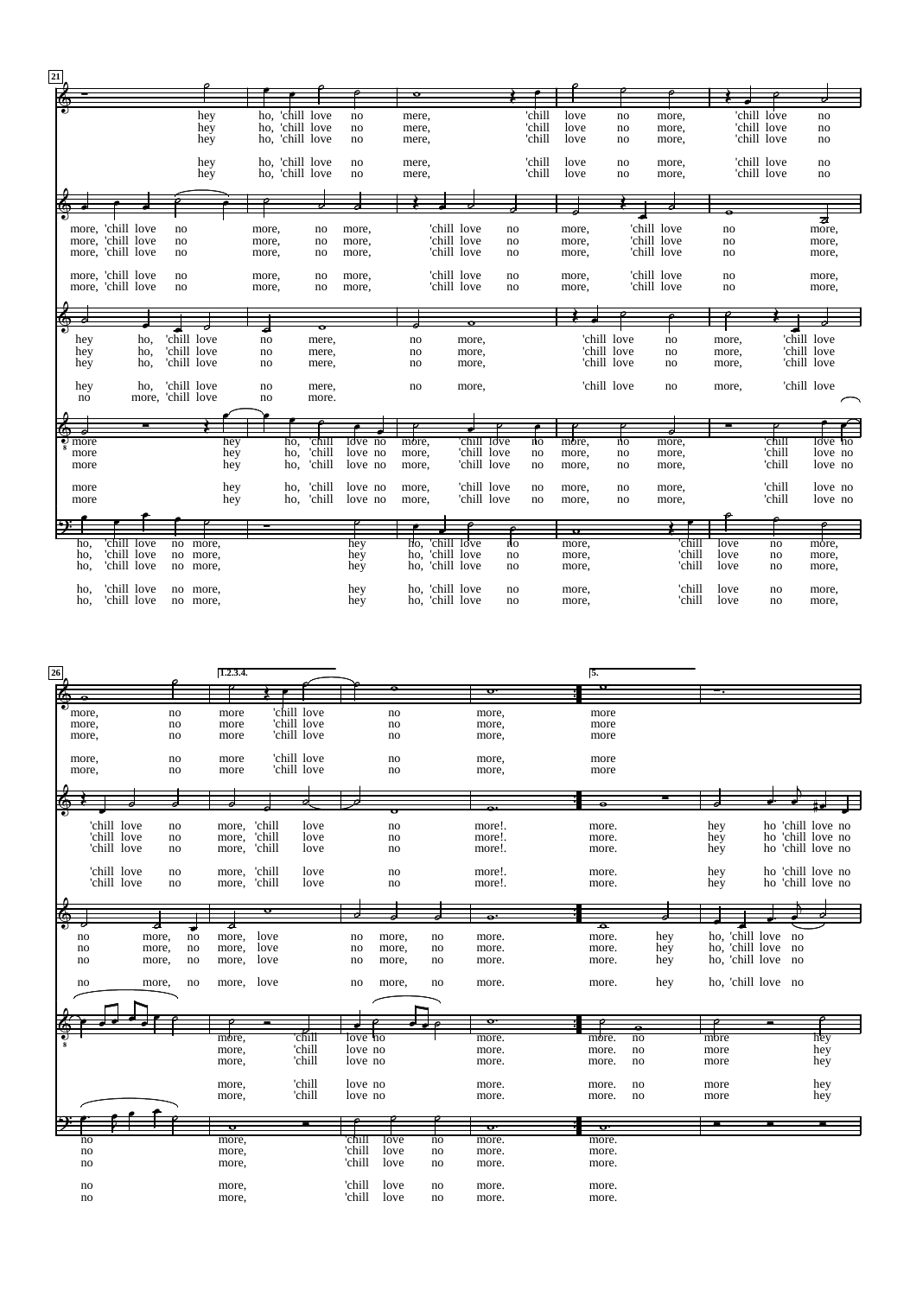| $\boxed{21}$ |                    |                   |                   |     |       |                 |                            |       |                 |                |        |       |             |             |       |             |             |  |
|--------------|--------------------|-------------------|-------------------|-----|-------|-----------------|----------------------------|-------|-----------------|----------------|--------|-------|-------------|-------------|-------|-------------|-------------|--|
|              |                    |                   |                   |     |       |                 |                            | ठ     |                 |                |        |       |             |             |       |             |             |  |
|              |                    |                   |                   |     |       |                 |                            |       |                 |                |        |       |             |             |       |             |             |  |
|              |                    |                   |                   | hey |       | ho, 'chill love | no                         | mere, |                 |                | 'chill | love  | no          | more,       |       | 'chill love | no          |  |
|              |                    |                   |                   |     |       |                 |                            |       |                 |                |        |       |             |             |       |             |             |  |
|              |                    |                   |                   | hey |       | ho, 'chill love | no                         | mere, |                 |                | 'chill | love  | no          | more,       |       | 'chill love | no          |  |
|              |                    |                   |                   | hey |       | ho, 'chill love | no                         | mere, |                 |                | 'chill | love  | no          | more,       |       | 'chill love | no          |  |
|              |                    |                   |                   |     |       |                 |                            |       |                 |                |        |       |             |             |       |             |             |  |
|              |                    |                   | hey               |     |       | ho, 'chill love | no                         | mere, |                 |                | 'chill | love  | no          | more,       |       | 'chill love | no          |  |
|              |                    |                   |                   | hey |       | ho, 'chill love | no                         |       |                 |                | 'chill | love  | no          | more,       |       | 'chill love | no          |  |
|              |                    |                   |                   |     |       |                 |                            | mere, |                 |                |        |       |             |             |       |             |             |  |
|              |                    |                   |                   |     |       |                 |                            |       |                 |                |        |       |             |             |       |             |             |  |
|              |                    |                   |                   |     |       |                 |                            |       |                 |                |        |       |             |             |       |             |             |  |
|              |                    |                   |                   |     |       |                 |                            |       |                 |                |        |       |             |             |       |             |             |  |
|              |                    |                   |                   |     |       |                 |                            |       |                 |                |        |       |             |             |       |             | 귱           |  |
|              |                    | more, 'chill love | no                |     | more, | no              | more,                      |       | 'chill love     | no             |        | more, |             | 'chill love | no    |             | more,       |  |
|              |                    | more, 'chill love | no                |     | more, | no              | more,                      |       | 'chill love     | no             |        | more, |             | 'chill love | no    |             | more,       |  |
|              |                    |                   |                   |     |       |                 |                            |       |                 |                |        |       |             |             |       |             |             |  |
|              |                    | more, 'chill love | no                |     | more, | no              | more,                      |       | 'chill love     | no             |        | more, |             | 'chill love | no    |             | more,       |  |
|              |                    |                   |                   |     |       |                 |                            |       |                 |                |        |       |             |             |       |             |             |  |
|              |                    | more, 'chill love | no                |     | more, | no              | more,                      |       | 'chill love     | no             |        | more, |             | 'chill love | no    |             | more,       |  |
|              |                    | more, 'chill love | no                |     | more, | no              | more,                      |       | 'chill love     | no             |        | more, |             | 'chill love | no    |             | more,       |  |
|              |                    |                   |                   |     |       |                 |                            |       |                 |                |        |       |             |             |       |             |             |  |
|              |                    |                   |                   |     |       |                 |                            |       |                 |                |        |       |             |             |       |             |             |  |
|              |                    |                   |                   |     |       |                 |                            |       |                 |                |        |       |             |             |       |             |             |  |
|              |                    |                   |                   |     | J     |                 |                            |       |                 |                |        |       |             |             |       |             |             |  |
|              |                    |                   | 'chill love       |     |       |                 |                            |       |                 |                |        |       | 'chill love |             |       |             | 'chill love |  |
|              | hey                | ho,               |                   |     | no    | mere,           |                            | no    | more,           |                |        |       |             | no          | more, |             |             |  |
|              | hey                | ho,               | 'chill love       |     | no    | mere,           |                            | no    | more,           |                |        |       | 'chill love | no          | more, |             | 'chill love |  |
|              | hey                | ho,               | 'chill love       |     | no    | mere,           |                            | no    | more,           |                |        |       | 'chill love | no          | more, |             | 'chill love |  |
|              |                    |                   |                   |     |       |                 |                            |       |                 |                |        |       |             |             |       |             |             |  |
|              | hey                | ho,               | 'chill love       |     | no    | mere,           |                            | no    | more,           |                |        |       | 'chill love | no          | more, |             | 'chill love |  |
|              | no                 |                   | more, 'chill love |     | no    | more.           |                            |       |                 |                |        |       |             |             |       |             |             |  |
|              |                    |                   |                   |     |       |                 |                            |       |                 |                |        |       |             |             |       |             |             |  |
|              |                    |                   |                   |     |       |                 |                            |       |                 |                |        |       |             |             |       |             |             |  |
|              |                    |                   |                   |     |       |                 |                            |       |                 |                |        |       |             |             |       |             |             |  |
|              |                    |                   |                   |     |       |                 |                            |       |                 |                |        |       |             |             |       |             |             |  |
|              | $\frac{1}{2}$ more |                   |                   | hey |       | 'chill<br>ho,   | $\frac{1}{\text{over no}}$ | more, | 'chill love     |                | no     | more, | ήo          | more,       |       | 'chill      | love 'no    |  |
|              | more               |                   |                   | hey |       | 'chill<br>ho,   | love no                    | more, | 'chill love     |                | no     | more, | no          | more,       |       | 'chill      | love no     |  |
|              | more               |                   |                   | hey |       | 'chill<br>ho,   | love no                    | more, | 'chill love     |                | no     | more, | no          | more,       |       | 'chill      | love no     |  |
|              |                    |                   |                   |     |       |                 |                            |       |                 |                |        |       |             |             |       |             |             |  |
|              |                    |                   |                   |     |       | 'chill          |                            |       | 'chill love     |                |        |       |             |             |       | 'chill      |             |  |
|              | more               |                   |                   | hey |       | ho.             | love no                    | more, |                 |                | no     | more, | no          | more,       |       |             | love no     |  |
|              | more               |                   |                   | hey |       | 'chill<br>ho,   | love no                    | more, | 'chill love     |                | no     | more, | no          | more,       |       | 'chill      | love no     |  |
|              |                    |                   |                   |     |       |                 |                            |       |                 |                |        |       |             |             |       |             |             |  |
|              |                    |                   |                   |     |       |                 |                            |       |                 |                |        |       |             |             |       |             |             |  |
|              |                    |                   |                   |     |       |                 |                            |       |                 |                |        | o     |             |             |       |             |             |  |
|              | ho.                | 'chill love       | no more,          |     |       |                 | hey                        |       | ho, 'chill love | n <sub>O</sub> |        | more, |             | 'chill      | love  | no          | more,       |  |
|              | ho,                | 'chill love       | no more,          |     |       |                 | hey                        | ho,   | 'chill love     | no             |        | more, |             | 'chill      | love  | no          | more,       |  |
|              |                    |                   |                   |     |       |                 |                            |       |                 |                |        |       |             | 'chill      |       |             |             |  |
|              | ho.                | 'chill love       | no more,          |     |       |                 | hey                        | ho.   | 'chill love     | no             |        | more, |             |             | love  | no          | more,       |  |
|              |                    |                   |                   |     |       |                 |                            |       |                 |                |        |       |             |             |       |             |             |  |
|              | ho.                | 'chill love       | no more,          |     |       |                 | hey                        |       | ho, 'chill love | no             |        | more, |             | 'chill      | love  | no          | more.       |  |
|              | ho,                | 'chill love       | no more,          |     |       |                 | hey                        |       | ho, 'chill love | no             |        | more, |             | 'chill      | love  | no          | more,       |  |

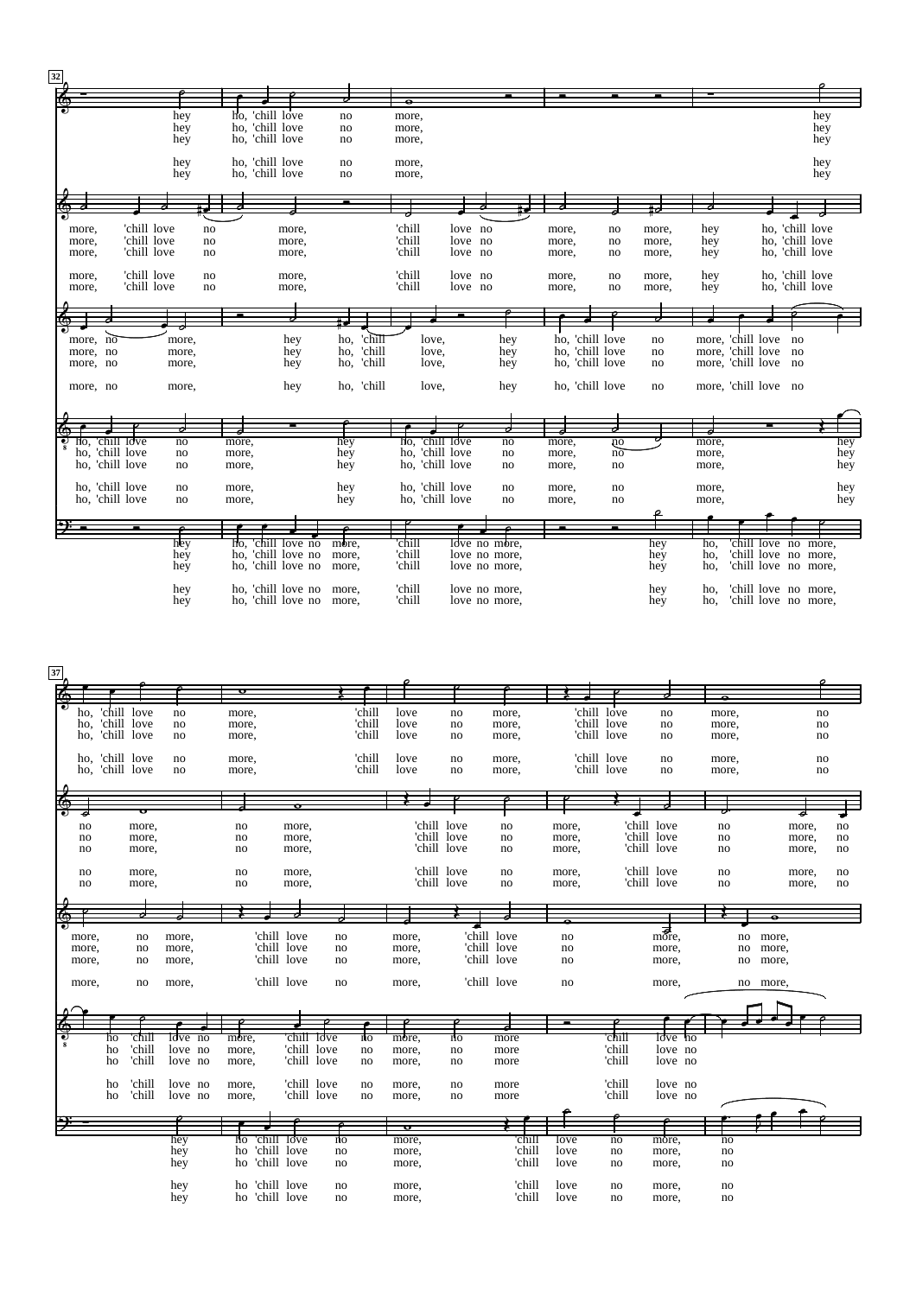| 32 |                |                 |            |          |       |                                    |          |            |                |       |                 |               |                |                 |                 |                        |            |                      |                 |     |
|----|----------------|-----------------|------------|----------|-------|------------------------------------|----------|------------|----------------|-------|-----------------|---------------|----------------|-----------------|-----------------|------------------------|------------|----------------------|-----------------|-----|
|    |                |                 |            |          |       |                                    |          |            |                |       |                 |               |                |                 |                 |                        |            |                      |                 |     |
|    |                |                 |            |          |       |                                    |          |            |                |       |                 |               |                |                 |                 |                        |            |                      |                 |     |
|    |                |                 | hey        |          |       | ho, 'chill love                    | no       |            | more,          |       |                 |               |                |                 |                 |                        |            |                      | hey             |     |
|    |                |                 | hey<br>hey |          |       | ho, 'chill love<br>ho, 'chill love | no<br>no |            | more,<br>more, |       |                 |               |                |                 |                 |                        |            |                      | hey<br>hey      |     |
|    |                |                 |            |          |       |                                    |          |            |                |       |                 |               |                |                 |                 |                        |            |                      |                 |     |
|    |                |                 | hey        |          |       | ho, 'chill love                    | no       |            | more,          |       |                 |               |                |                 |                 |                        |            |                      | hey             |     |
|    |                |                 | hey        |          |       | ho, 'chill love                    | no       |            | more,          |       |                 |               |                |                 |                 |                        |            |                      | hey             |     |
|    |                |                 |            |          |       |                                    |          |            |                |       |                 |               |                |                 |                 |                        |            |                      |                 |     |
|    |                |                 |            |          |       |                                    |          |            |                |       |                 |               |                |                 |                 |                        |            |                      |                 |     |
|    |                |                 |            |          |       |                                    |          |            |                |       |                 |               |                |                 |                 |                        |            |                      |                 |     |
|    | more,          | 'chill love     |            | no       |       | more,                              |          |            | 'chill         |       | love no         |               | more,          |                 | no              | more,                  | hey        |                      | ho, 'chill love |     |
|    | more,          | 'chill love     |            | no       |       | more,                              |          |            | 'chill         |       | love no         |               | more,          |                 | no              | more,                  | hey        |                      | ho, 'chill love |     |
|    | more,          | 'chill love     |            | no       |       | more,                              |          |            | 'chill         |       | love no         |               | more,          |                 | no              | more,                  | hey        |                      | ho, 'chill love |     |
|    |                | 'chill love     |            |          |       |                                    |          |            | 'chill         |       | love no         |               |                |                 |                 |                        |            |                      | ho, 'chill love |     |
|    | more,<br>more, | 'chill love     |            | no<br>no |       | more,<br>more,                     |          |            | 'chill         |       | love no         |               | more,<br>more, |                 | no<br>no        | more,<br>more,         | hey<br>hey |                      | ho, 'chill love |     |
|    |                |                 |            |          |       |                                    |          |            |                |       |                 |               |                |                 |                 |                        |            |                      |                 |     |
|    |                |                 |            |          |       |                                    |          |            |                |       |                 |               |                |                 |                 |                        |            |                      |                 |     |
|    |                |                 |            |          |       |                                    |          |            |                |       |                 |               |                |                 |                 |                        |            |                      |                 |     |
|    | more, no       |                 | more,      |          |       | hey                                | ho,      | 'chill     |                | love. |                 | hey           |                | ho, 'chill love |                 | no                     |            | more, 'chill love no |                 |     |
|    | more, no       |                 | more,      |          |       | hey                                | ho,      | 'chill     |                | love, |                 | hey           |                | ho, 'chill love |                 | $\mathop{\mathrm{no}}$ |            | more, 'chill love no |                 |     |
|    | more, no       |                 | more,      |          |       | hey                                | ho,      | 'chill     |                | love, |                 | hey           |                | ho, 'chill love |                 | no                     |            | more, 'chill love no |                 |     |
|    |                |                 |            |          |       |                                    |          |            |                |       |                 |               |                |                 |                 |                        |            |                      |                 |     |
|    | more, no       |                 | more,      |          |       | hey                                |          | ho, 'chill |                | love, |                 | hey           |                | ho, 'chill love |                 | no                     |            | more, 'chill love no |                 |     |
|    |                |                 |            |          |       |                                    |          |            |                |       |                 |               |                |                 |                 |                        |            |                      |                 |     |
|    |                |                 |            |          |       |                                    |          |            |                |       |                 |               |                |                 |                 |                        |            |                      |                 |     |
|    |                |                 |            |          |       |                                    |          |            |                |       |                 |               |                |                 |                 |                        |            |                      |                 |     |
|    |                | ho, 'chill love | no         |          | more, |                                    | hey      |            | Ho.            |       | 'chill love     | no            | more,          |                 | ņо              |                        | more,      |                      |                 | hey |
|    |                | ho, 'chill love | no         |          | more, |                                    | hey      |            |                |       | ho, 'chill love | no            | more,          |                 | $n\overline{o}$ |                        | more,      |                      |                 | hey |
|    |                | ho, 'chill love | no         |          | more, |                                    | hey      |            |                |       | ho, 'chill love | no            | more,          |                 | no              |                        | more,      |                      |                 | hey |
|    |                | ho, 'chill love | no         |          | more, |                                    | hey      |            |                |       | ho, 'chill love | no            | more,          |                 | no              |                        | more,      |                      |                 | hey |
|    |                | ho, 'chill love | no         |          | more, |                                    | hey      |            |                |       | ho, 'chill love | no            | more,          |                 | no              |                        | more,      |                      |                 | hey |
|    |                |                 |            |          |       |                                    |          |            |                |       |                 |               |                |                 |                 |                        |            |                      |                 |     |
|    |                |                 |            |          |       |                                    |          |            |                |       |                 |               |                |                 |                 |                        |            |                      |                 |     |
|    |                |                 | hey        |          | ho.   | 'chill love no                     | more,    |            | 'chill         |       | love no more,   |               |                |                 |                 | hey                    | ho.        | 'chill love no more, |                 |     |
|    |                |                 | hey        |          | ho,   | 'chill love no                     | more,    |            | 'chill         |       |                 | love no more, |                |                 |                 | hey                    | ho,        | 'chill love no more, |                 |     |
|    |                |                 | hey        |          |       | ho, 'chill love no                 | more,    |            | 'chill         |       | love no more,   |               |                |                 |                 | hey                    | ho,        | 'chill love no more, |                 |     |
|    |                |                 |            |          |       |                                    |          |            |                |       |                 |               |                |                 |                 |                        |            |                      |                 |     |
|    |                |                 | hey        |          |       | ho, 'chill love no more,           |          |            | 'chill         |       | love no more,   |               |                |                 |                 | hey                    | ho.        | 'chill love no more, |                 |     |
|    |                |                 | hey        |          |       | ho, 'chill love no more,           |          |            | 'chill         |       | love no more,   |               |                |                 |                 | hey                    | ho,        | 'chill love no more, |                 |     |

| 37 |       |                 |             |            |          |                |                 |        |       |                |             |        |       |             |                                |       |           |    |
|----|-------|-----------------|-------------|------------|----------|----------------|-----------------|--------|-------|----------------|-------------|--------|-------|-------------|--------------------------------|-------|-----------|----|
|    |       |                 |             |            | $\sigma$ |                |                 |        |       |                |             |        |       |             |                                |       |           |    |
|    |       |                 |             |            |          |                |                 |        |       |                |             |        |       |             |                                |       |           |    |
|    | ho,   |                 | 'chill love | no         | more,    |                |                 | 'chill | love  | no             |             | more,  |       | 'chill love | no                             | more, |           | no |
|    |       | ho, 'chill love |             | no         | more,    |                |                 | 'chill | love  | no             |             | more,  |       | 'chill love | no                             | more, | no        |    |
|    |       | ho, 'chill love |             | no         | more,    |                |                 | 'chill | love  | no             |             | more,  |       | 'chill love | no                             | more, | no        |    |
|    |       |                 |             |            |          |                |                 |        |       |                |             |        |       |             |                                |       |           |    |
|    |       | ho, 'chill love |             | no         | more,    |                |                 | 'chill | love  | no             |             | more,  |       | 'chill love | no                             | more, |           | no |
|    |       | ho, 'chill love |             | no         | more,    |                |                 | 'chill | love  | no             |             | more,  |       | 'chill love | no                             | more, |           | no |
|    |       |                 |             |            |          |                |                 |        |       |                |             |        |       |             |                                |       |           |    |
|    |       |                 |             |            |          |                |                 |        |       |                |             |        |       |             |                                |       |           |    |
|    |       |                 |             |            |          |                |                 |        |       |                |             |        |       |             |                                |       |           |    |
|    |       |                 |             |            |          |                |                 |        |       |                |             |        |       |             |                                |       |           |    |
|    | no    |                 | more,       |            | no       | more,          |                 |        |       | 'chill love    |             | no     | more, |             | 'chill love                    | no    | more,     | no |
|    | no    |                 | more,       |            | no       | more,          |                 |        |       | 'chill love    |             | no     | more, |             | 'chill love                    | no    | more,     | no |
|    |       |                 |             |            |          |                |                 |        |       | 'chill love    |             |        |       |             | 'chill love                    |       |           |    |
|    | no    |                 | more,       |            | no       | more,          |                 |        |       |                |             | no     | more, |             |                                | no    | more,     | no |
|    |       |                 |             |            |          |                |                 |        |       | 'chill love    |             |        |       |             | 'chill love                    |       |           |    |
|    | no    |                 | more,       |            | no       | more,          |                 |        |       |                |             | no     | more, |             |                                | no    | more,     | no |
|    | no    |                 | more,       |            | no       | more,          |                 |        |       | 'chill love    |             | no     | more, |             | 'chill love                    | no    | more,     | no |
|    |       |                 |             |            |          |                |                 |        |       |                |             |        |       |             |                                |       |           |    |
|    |       |                 |             |            |          |                |                 |        |       |                |             |        |       |             |                                |       |           |    |
|    |       |                 |             |            |          |                |                 |        |       |                |             |        |       |             |                                |       | $\bullet$ |    |
|    | more, |                 | no          | more,      |          | 'chill love    | no              |        | more, |                | 'chill love |        | no    |             | $\overline{5}$ <sub>more</sub> | no    | more,     |    |
|    | more, |                 | no          | more,      |          | 'chill love    | no              |        | more, |                | 'chill love |        | no    |             | more,                          | no    | more,     |    |
|    |       |                 |             |            |          | 'chill love    |                 |        |       |                | 'chill love |        |       |             |                                |       |           |    |
|    | more, |                 | no          | more,      |          |                | no              |        | more, |                |             |        | no    |             | more,                          | no    | more,     |    |
|    |       |                 |             |            |          | 'chill love    |                 |        |       |                | 'chill love |        |       |             |                                |       |           |    |
|    | more, |                 | no          | more,      |          |                | no              |        | more, |                |             |        | no    |             | more,                          | no    | more,     |    |
|    |       |                 |             |            |          |                |                 |        |       |                |             |        |       |             |                                |       |           |    |
|    |       |                 |             |            |          |                |                 |        |       |                |             |        |       |             |                                |       |           |    |
|    |       |                 |             |            |          |                |                 |        |       |                |             |        |       |             |                                |       |           |    |
|    |       |                 | 'chill      | $l$ dve no | more,    | 'chill Idve    |                 |        |       | $\overline{p}$ |             |        |       | 'chill      | love no                        |       |           |    |
|    |       | ho<br>ho        | 'chill      | love no    |          | 'chill love    |                 | no     | more, |                |             | more   |       | 'chill      | love no                        |       |           |    |
|    |       |                 | 'chill      |            | more,    |                |                 | no     | more, | no             |             | more   |       |             |                                |       |           |    |
|    |       | ho              |             | love no    | more,    | 'chill love    |                 | no     | more, | no             |             | more   |       | 'chill      | love no                        |       |           |    |
|    |       |                 |             |            |          |                |                 |        |       |                |             |        |       |             |                                |       |           |    |
|    |       | ho              | 'chill      | love no    | more,    | 'chill love    |                 | no     | more, | no             |             | more   |       | 'chill      | love no                        |       |           |    |
|    |       | ho              | 'chill      | love no    | more,    | 'chill love    |                 | no     | more, | no             |             | more   |       | 'chill      | love no                        |       |           |    |
|    |       |                 |             |            |          |                |                 |        |       |                |             |        |       |             |                                |       |           |    |
|    |       |                 |             |            |          |                |                 |        |       |                |             |        |       |             |                                |       |           |    |
|    |       |                 |             |            |          |                |                 |        | þ     |                |             |        |       |             |                                |       |           |    |
|    |       |                 |             | hey        | ho       | 'chill love    | $\overline{10}$ |        | more, |                |             | 'chill | love  | no          | more,                          | no    |           |    |
|    |       |                 |             | hey        | ho       | 'chill love    | no              |        | more, |                |             | 'chill | love  | no          | more,                          | no    |           |    |
|    |       |                 |             | hey        | ho       | 'chill love    | no              |        | more, |                |             | 'chill | love  | no          | more,                          | no    |           |    |
|    |       |                 |             |            |          |                |                 |        |       |                |             |        |       |             |                                |       |           |    |
|    |       |                 |             | hey        | ho       | 'chill love    | no              |        | more, |                |             | 'chill | love  | no          | more,                          | no    |           |    |
|    |       |                 |             | hey        |          | ho 'chill love | no              |        | more, |                |             | 'chill | love  | no          | more,                          | no    |           |    |
|    |       |                 |             |            |          |                |                 |        |       |                |             |        |       |             |                                |       |           |    |